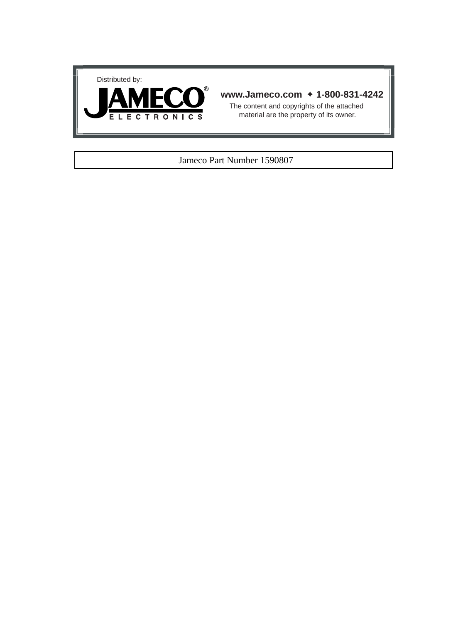



# **www.Jameco.com** ✦ **1-800-831-4242**

The content and copyrights of the attached material are the property of its owner.

#### Jameco Part Number 1590807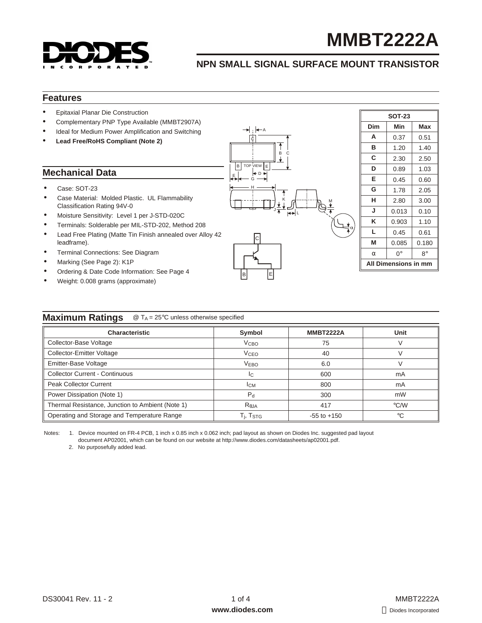

# **MMBT2222A**

# **NPN SMALL SIGNAL SURFACE MOUNT TRANSISTOR**

### **Features**

- Epitaxial Planar Die Construction
- Complementary PNP Type Available (MMBT2907A)
- Ideal for Medium Power Amplification and Switching
- **Lead Free/RoHS Compliant (Note 2)**

# **Mechanical Data**

- Case: SOT-23
- Case Material: Molded Plastic. UL Flammability Classification Rating 94V-0
- Moisture Sensitivity: Level 1 per J-STD-020C
- Terminals: Solderable per MIL-STD-202, Method 208
- Lead Free Plating (Matte Tin Finish annealed over Alloy 42 leadframe).
- Terminal Connections: See Diagram
- Marking (See Page 2): K1P
- Ordering & Date Code Information: See Page 4
- Weight: 0.008 grams (approximate)



| <b>SOT-23</b> |                      |                                                      |  |  |  |  |  |
|---------------|----------------------|------------------------------------------------------|--|--|--|--|--|
| Dim           | Min                  | Max                                                  |  |  |  |  |  |
| А             | 0.37                 | 0.51                                                 |  |  |  |  |  |
| в             | 1.20                 | 1.40                                                 |  |  |  |  |  |
| С             | 2.30                 | 2.50                                                 |  |  |  |  |  |
| D             | 0.89                 | 1.03<br>0.60<br>2.05<br>3.00<br>0.10<br>1.10<br>0.61 |  |  |  |  |  |
| Е             | 0.45                 |                                                      |  |  |  |  |  |
| G             | 1.78                 |                                                      |  |  |  |  |  |
| н             | 2.80                 |                                                      |  |  |  |  |  |
| J             | 0.013                |                                                      |  |  |  |  |  |
| ĸ             | 0.903                |                                                      |  |  |  |  |  |
| L             | 0.45                 |                                                      |  |  |  |  |  |
| M             | 0.085                | 0.180                                                |  |  |  |  |  |
|               | 0°                   | $8^{\circ}$                                          |  |  |  |  |  |
|               | All Dimensions in mm |                                                      |  |  |  |  |  |

#### **Maximum Ratings** @ T<sub>A</sub> = 25°C unless otherwise specified

| <b>Characteristic</b>                            | Symbol                 | <b>MMBT2222A</b> | Unit          |
|--------------------------------------------------|------------------------|------------------|---------------|
| Collector-Base Voltage                           | V <sub>CHO</sub>       | 75               |               |
| Collector-Emitter Voltage                        | <b>V<sub>CEO</sub></b> | 40               |               |
| Emitter-Base Voltage                             | <b>VEBO</b>            | 6.0              |               |
| <b>Collector Current - Continuous</b>            | IC.                    | 600              | mA            |
| <b>Peak Collector Current</b>                    | $I_{CM}$               | 800              | mA            |
| Power Dissipation (Note 1)                       | $P_{d}$                | 300              | mW            |
| Thermal Resistance, Junction to Ambient (Note 1) | R JA                   | 417              | $\degree$ C/W |
| Operating and Storage and Temperature Range      | T <sub>i</sub> , Tstg  | $-55$ to $+150$  | $^{\circ}C$   |

B E

Notes: 1. Device mounted on FR-4 PCB, 1 inch x 0.85 inch x 0.062 inch; pad layout as shown on Diodes Inc. suggested pad layout document AP02001, which can be found on our website at [http://www.diodes.com/datasheets/ap02001.pdf.](http://www.diodes.com/datasheets/ap02001.pdf)

2. No purposefully added lead.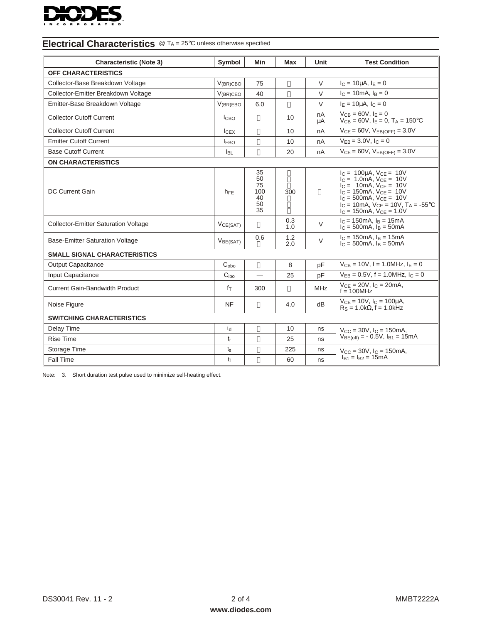

| <b>Characteristic (Note 3)</b>              | Symbol               | Min                                     | Max        | Unit       | <b>Test Condition</b>                                                                                                                                                                                                                                                                   |  |  |
|---------------------------------------------|----------------------|-----------------------------------------|------------|------------|-----------------------------------------------------------------------------------------------------------------------------------------------------------------------------------------------------------------------------------------------------------------------------------------|--|--|
| OFF CHARACTERISTICS                         |                      |                                         |            |            |                                                                                                                                                                                                                                                                                         |  |  |
| Collector-Base Breakdown Voltage            | $V_{(BR)CBO}$        | 75                                      |            | V          | $I_C = 10 \mu A$ , $I_E = 0$                                                                                                                                                                                                                                                            |  |  |
| Collector-Emitter Breakdown Voltage         | $V_{(BR)CEO}$        | 40                                      |            | V          | $I_C = 10 \text{mA}, I_B = 0$                                                                                                                                                                                                                                                           |  |  |
| Emitter-Base Breakdown Voltage              | $V_{(BR)EBO}$        | 6.0                                     |            | $\vee$     | $I_E = 10 \mu A$ , $I_C = 0$                                                                                                                                                                                                                                                            |  |  |
| <b>Collector Cutoff Current</b>             | l <sub>CBO</sub>     |                                         | 10         | nA<br>μA   | $V_{CR} = 60V, I_F = 0$<br>$V_{CB} = 60V$ , $I_F = 0$ , $T_A = 150^{\circ}C$                                                                                                                                                                                                            |  |  |
| <b>Collector Cutoff Current</b>             | I <sub>CEX</sub>     |                                         | 10         | nA         | $V_{CE} = 60V$ , $V_{EB(OFF)} = 3.0V$                                                                                                                                                                                                                                                   |  |  |
| <b>Emitter Cutoff Current</b>               | <b>IEBO</b>          |                                         | 10         | nA         | $V_{EB} = 3.0 V, I_C = 0$                                                                                                                                                                                                                                                               |  |  |
| <b>Base Cutoff Current</b>                  | <b>I</b> BL          |                                         | 20         | nA         | $V_{CE} = 60V$ , $V_{EB(OFF)} = 3.0V$                                                                                                                                                                                                                                                   |  |  |
| <b>ON CHARACTERISTICS</b>                   |                      |                                         |            |            |                                                                                                                                                                                                                                                                                         |  |  |
| DC Current Gain                             | $h_{FE}$             | 35<br>50<br>75<br>100<br>40<br>50<br>35 | 300        |            | $I_C = 100 \mu A$ , $V_{CE} = 10V$<br>$I_C = 1.0 \text{mA}, V_{CE} = 10V$<br>$I_C = 10 \text{mA}, V_{CE} = 10V$<br>$I_C = 150 \text{mA}, V_{CE} = 10V$<br>$I_C = 500 \text{mA}$ , $V_{CE} = 10V$<br>$I_C = 10mA$ , $V_{CE} = 10V$ , $T_A = -55^{\circ}C$<br>$IC = 150mA$ , $VCE = 1.0V$ |  |  |
| <b>Collector-Emitter Saturation Voltage</b> | V <sub>CE(SAT)</sub> |                                         | 0.3<br>1.0 | $\vee$     | $I_C = 150$ mA, $I_B = 15$ mA<br>$I_C = 500 \text{mA}$ , $I_B = 50 \text{mA}$                                                                                                                                                                                                           |  |  |
| <b>Base-Emitter Saturation Voltage</b>      | V <sub>BE(SAT)</sub> | 0.6                                     | 1.2<br>2.0 | $\vee$     | $I_C = 150 \text{mA}$ , $I_B = 15 \text{mA}$<br>$I_C = 500 \text{mA}$ , $I_B = 50 \text{mA}$                                                                                                                                                                                            |  |  |
| <b>SMALL SIGNAL CHARACTERISTICS</b>         |                      |                                         |            |            |                                                                                                                                                                                                                                                                                         |  |  |
| <b>Output Capacitance</b>                   | C <sub>oho</sub>     |                                         | 8          | pF         | $V_{CB} = 10V$ , f = 1.0MHz, $I_E = 0$                                                                                                                                                                                                                                                  |  |  |
| Input Capacitance                           | C <sub>ibo</sub>     |                                         | 25         | pF         | $V_{FB} = 0.5V$ , f = 1.0MHz, $I_C = 0$                                                                                                                                                                                                                                                 |  |  |
| Current Gain-Bandwidth Product              | $f_T$                | 300                                     |            | <b>MHz</b> | $V_{CE} = 20V$ , $I_C = 20mA$ ,<br>$f = 100$ MHz                                                                                                                                                                                                                                        |  |  |
| Noise Figure                                | NF                   |                                         | 4.0        | dВ         | $V_{CE} = 10V$ , $I_C = 100\mu A$ ,<br>$Rs = 1.0k$ $f = 1.0kHz$                                                                                                                                                                                                                         |  |  |
| <b>SWITCHING CHARACTERISTICS</b>            |                      |                                         |            |            |                                                                                                                                                                                                                                                                                         |  |  |
| Delay Time                                  | $t_d$                |                                         | 10         | ns         | $V_{CC} = 30V$ , $I_C = 150$ mA,                                                                                                                                                                                                                                                        |  |  |
| <b>Rise Time</b>                            | $t_{r}$              |                                         | 25         | ns         | $V_{BE(off)} = -0.5V$ , $I_{B1} = 15mA$                                                                                                                                                                                                                                                 |  |  |
| Storage Time                                | $t_{\rm s}$          |                                         | 225        | ns         | $V_{CC} = 30V$ , $I_C = 150$ mA,                                                                                                                                                                                                                                                        |  |  |
| Fall Time                                   | $t_{\rm f}$          |                                         | 60         | ns         | $I_{B1} = I_{B2} = 15mA$                                                                                                                                                                                                                                                                |  |  |

# **Electrical Characteristics** @ T<sub>A</sub> = 25°C unless otherwise specified

Note: 3. Short duration test pulse used to minimize self-heating effect.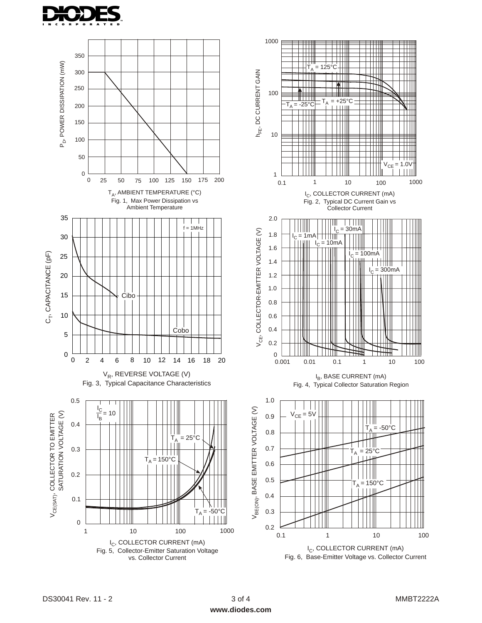